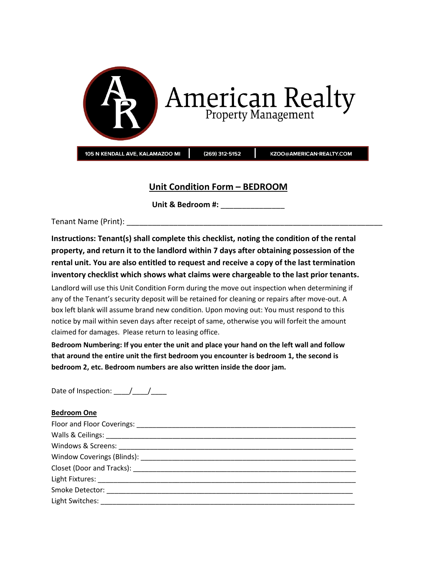

## **Unit Condition Form – BEDROOM**

**Unit & Bedroom #:** \_\_\_\_\_\_\_\_\_\_\_\_\_\_\_

Tenant Name (Print):

**Instructions: Tenant(s) shall complete this checklist, noting the condition of the rental property, and return it to the landlord within 7 days after obtaining possession of the rental unit. You are also entitled to request and receive a copy of the last termination inventory checklist which shows what claims were chargeable to the last prior tenants.**

Landlord will use this Unit Condition Form during the move out inspection when determining if any of the Tenant's security deposit will be retained for cleaning or repairs after move-out. A box left blank will assume brand new condition. Upon moving out: You must respond to this notice by mail within seven days after receipt of same, otherwise you will forfeit the amount claimed for damages. Please return to leasing office.

**Bedroom Numbering: If you enter the unit and place your hand on the left wall and follow that around the entire unit the first bedroom you encounter is bedroom 1, the second is bedroom 2, etc. Bedroom numbers are also written inside the door jam.**

Date of Inspection:  $\qquad /$ 

## **Bedroom One**